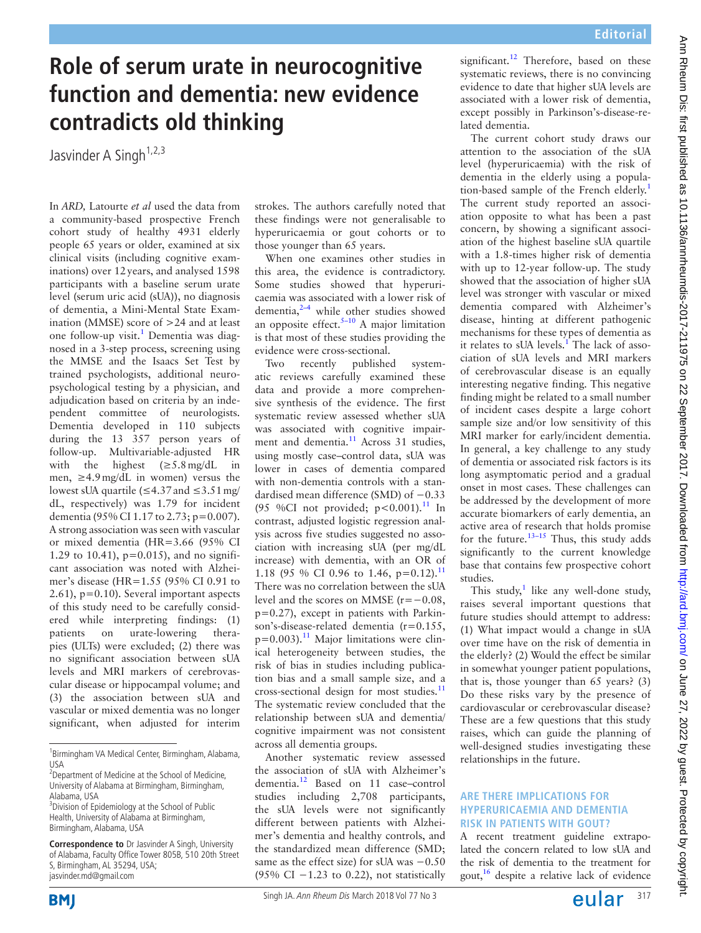## **Role of serum urate in neurocognitive function and dementia: new evidence contradicts old thinking**

Jasvinder A Singh<sup>1,2,3</sup>

In *ARD,* Latourte *et al* used the data from a community-based prospective French cohort study of healthy 4931 elderly people 65 years or older, examined at six clinical visits (including cognitive examinations) over 12years, and analysed 1598 participants with a baseline serum urate level (serum uric acid (sUA)), no diagnosis of dementia, a Mini-Mental State Examination (MMSE) score of >24 and at least one follow-up visit.<sup>1</sup> Dementia was diagnosed in a 3-step process, screening using the MMSE and the Isaacs Set Test by trained psychologists, additional neuropsychological testing by a physician, and adjudication based on criteria by an independent committee of neurologists. Dementia developed in 110 subjects during the 13 357 person years of follow-up. Multivariable-adjusted HR with the highest  $(\geq 5.8 \text{ mg/dL} \text{ in}$ men, ≥4.9mg/dL in women) versus the lowest sUA quartile (≤4.37and ≤3.51mg/ dL, respectively) was 1.79 for incident dementia (95% CI 1.17 to 2.73; p=0.007). A strong association was seen with vascular or mixed dementia (HR=3.66 (95% CI 1.29 to 10.41), p=0.015), and no significant association was noted with Alzheimer's disease (HR=1.55 (95% CI 0.91 to 2.61),  $p=0.10$ ). Several important aspects of this study need to be carefully considered while interpreting findings: (1) patients on urate-lowering therapies (ULTs) were excluded; (2) there was no significant association between sUA levels and MRI markers of cerebrovascular disease or hippocampal volume; and (3) the association between sUA and vascular or mixed dementia was no longer significant, when adjusted for interim

**Correspondence to** Dr Jasvinder A Singh, University of Alabama, Faculty Office Tower 805B, 510 20th Street S, Birmingham, AL 35294, USA; jasvinder.md@gmail.com

strokes. The authors carefully noted that these findings were not generalisable to hyperuricaemia or gout cohorts or to those younger than 65 years.

When one examines other studies in this area, the evidence is contradictory. Some studies showed that hyperuricaemia was associated with a lower risk of dementia, $2-4$  while other studies showed an opposite effect. $5-10$  A major limitation is that most of these studies providing the evidence were cross-sectional.

Two recently published systematic reviews carefully examined these data and provide a more comprehensive synthesis of the evidence. The first systematic review assessed whether sUA was associated with cognitive impairment and dementia.<sup>11</sup> Across 31 studies, using mostly case–control data, sUA was lower in cases of dementia compared with non-dementia controls with a standardised mean difference (SMD) of −0.33 (95 %CI not provided;  $p < 0.001$ ).<sup>11</sup> In contrast, adjusted logistic regression analysis across five studies suggested no association with increasing sUA (per mg/dL increase) with dementia, with an OR of 1.18 (95 % CI 0.96 to 1.46,  $p=0.12$ ).<sup>[11](#page-1-3)</sup> There was no correlation between the sUA level and the scores on MMSE (r=−0.08, p=0.27), except in patients with Parkinson's-disease-related dementia (r=0.155,  $p=0.003$ ).<sup>11</sup> Major limitations were clinical heterogeneity between studies, the risk of bias in studies including publication bias and a small sample size, and a cross-sectional design for most studies.[11](#page-1-3) The systematic review concluded that the relationship between sUA and dementia/ cognitive impairment was not consistent across all dementia groups.

Another systematic review assessed the association of sUA with Alzheimer's dementia.[12](#page-1-4) Based on 11 case–control studies including 2,708 participants, the sUA levels were not significantly different between patients with Alzheimer's dementia and healthy controls, and the standardized mean difference (SMD; same as the effect size) for sUA was −0.50 (95% CI  $-1.23$  to 0.22), not statistically

significant.<sup>12</sup> Therefore, based on these systematic reviews, there is no convincing evidence to date that higher sUA levels are associated with a lower risk of dementia, except possibly in Parkinson's-disease-related dementia.

The current cohort study draws our attention to the association of the sUA level (hyperuricaemia) with the risk of dementia in the elderly using a popula-tion-based sample of the French elderly.<sup>[1](#page-1-0)</sup> The current study reported an association opposite to what has been a past concern, by showing a significant association of the highest baseline sUA quartile with a 1.8-times higher risk of dementia with up to 12-year follow-up. The study showed that the association of higher sUA level was stronger with vascular or mixed dementia compared with Alzheimer's disease, hinting at different pathogenic mechanisms for these types of dementia as it relates to sUA levels.<sup>[1](#page-1-0)</sup> The lack of association of sUA levels and MRI markers of cerebrovascular disease is an equally interesting negative finding. This negative finding might be related to a small number of incident cases despite a large cohort sample size and/or low sensitivity of this MRI marker for early/incident dementia. In general, a key challenge to any study of dementia or associated risk factors is its long asymptomatic period and a gradual onset in most cases. These challenges can be addressed by the development of more accurate biomarkers of early dementia, an active area of research that holds promise for the future.<sup>13-15</sup> Thus, this study adds significantly to the current knowledge base that contains few prospective cohort studies.

This study,<sup>[1](#page-1-0)</sup> like any well-done study, raises several important questions that future studies should attempt to address: (1) What impact would a change in sUA over time have on the risk of dementia in the elderly? (2) Would the effect be similar in somewhat younger patient populations, that is, those younger than 65 years? (3) Do these risks vary by the presence of cardiovascular or cerebrovascular disease? These are a few questions that this study raises, which can guide the planning of well-designed studies investigating these relationships in the future.

## **Are there implications for hyperuricaemia and dementia risk in patients with gout?**

A recent treatment guideline extrapolated the concern related to low sUA and the risk of dementia to the treatment for gout, $16$  despite a relative lack of evidence



<sup>1</sup> Birmingham VA Medical Center, Birmingham, Alabama, USA

<sup>&</sup>lt;sup>2</sup> Department of Medicine at the School of Medicine, University of Alabama at Birmingham, Birmingham, Alabama, USA

<sup>&</sup>lt;sup>3</sup> Division of Epidemiology at the School of Public Health, University of Alabama at Birmingham, Birmingham, Alabama, USA